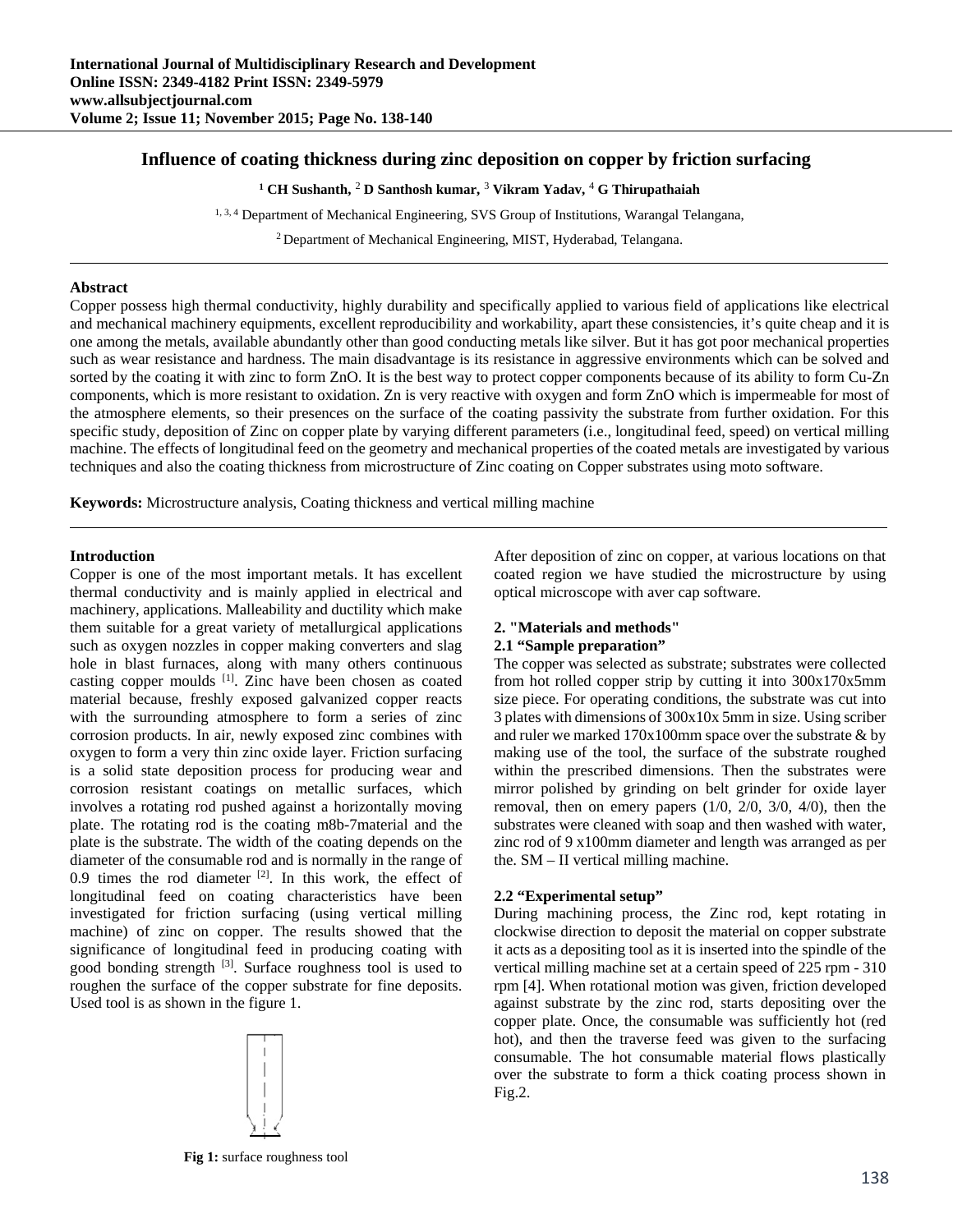# **Influence of coating thickness during zinc deposition on copper by friction surfacing**

<sup>1</sup> CH Sushanth, <sup>2</sup> D Santhosh kumar, <sup>3</sup> Vikram Yadav, <sup>4</sup> G Thirupathaiah

1, 3, 4 Department of Mechanical Engineering, SVS Group of Institutions, Warangal Telangana,

2 Department of Mechanical Engineering, MIST, Hyderabad, Telangana.

#### **Abstract**

Copper possess high thermal conductivity, highly durability and specifically applied to various field of applications like electrical and mechanical machinery equipments, excellent reproducibility and workability, apart these consistencies, it's quite cheap and it is one among the metals, available abundantly other than good conducting metals like silver. But it has got poor mechanical properties such as wear resistance and hardness. The main disadvantage is its resistance in aggressive environments which can be solved and sorted by the coating it with zinc to form ZnO. It is the best way to protect copper components because of its ability to form Cu-Zn components, which is more resistant to oxidation. Zn is very reactive with oxygen and form ZnO which is impermeable for most of the atmosphere elements, so their presences on the surface of the coating passivity the substrate from further oxidation. For this specific study, deposition of Zinc on copper plate by varying different parameters (i.e., longitudinal feed, speed) on vertical milling machine. The effects of longitudinal feed on the geometry and mechanical properties of the coated metals are investigated by various techniques and also the coating thickness from microstructure of Zinc coating on Copper substrates using moto software.

**Keywords:** Microstructure analysis, Coating thickness and vertical milling machine

#### **Introduction**

Copper is one of the most important metals. It has excellent thermal conductivity and is mainly applied in electrical and machinery, applications. Malleability and ductility which make them suitable for a great variety of metallurgical applications such as oxygen nozzles in copper making converters and slag hole in blast furnaces, along with many others continuous casting copper moulds [1]. Zinc have been chosen as coated material because, freshly exposed galvanized copper reacts with the surrounding atmosphere to form a series of zinc corrosion products. In air, newly exposed zinc combines with oxygen to form a very thin zinc oxide layer. Friction surfacing is a solid state deposition process for producing wear and corrosion resistant coatings on metallic surfaces, which involves a rotating rod pushed against a horizontally moving plate. The rotating rod is the coating m8b-7material and the plate is the substrate. The width of the coating depends on the diameter of the consumable rod and is normally in the range of 0.9 times the rod diameter  $[2]$ . In this work, the effect of longitudinal feed on coating characteristics have been investigated for friction surfacing (using vertical milling machine) of zinc on copper. The results showed that the significance of longitudinal feed in producing coating with good bonding strength <sup>[3]</sup>. Surface roughness tool is used to roughen the surface of the copper substrate for fine deposits. Used tool is as shown in the figure 1.



After deposition of zinc on copper, at various locations on that coated region we have studied the microstructure by using optical microscope with aver cap software.

# **2. "Materials and methods"**

# **2.1 "Sample preparation"**

The copper was selected as substrate; substrates were collected from hot rolled copper strip by cutting it into 300x170x5mm size piece. For operating conditions, the substrate was cut into 3 plates with dimensions of 300x10x 5mm in size. Using scriber and ruler we marked 170x100mm space over the substrate & by making use of the tool, the surface of the substrate roughed within the prescribed dimensions. Then the substrates were mirror polished by grinding on belt grinder for oxide layer removal, then on emery papers (1/0, 2/0, 3/0, 4/0), then the substrates were cleaned with soap and then washed with water, zinc rod of 9 x100mm diameter and length was arranged as per the. SM – II vertical milling machine.

## **2.2 "Experimental setup"**

During machining process, the Zinc rod, kept rotating in clockwise direction to deposit the material on copper substrate it acts as a depositing tool as it is inserted into the spindle of the vertical milling machine set at a certain speed of 225 rpm - 310 rpm [4]. When rotational motion was given, friction developed against substrate by the zinc rod, starts depositing over the copper plate. Once, the consumable was sufficiently hot (red hot), and then the traverse feed was given to the surfacing consumable. The hot consumable material flows plastically over the substrate to form a thick coating process shown in Fig.2.

**Fig 1:** surface roughness tool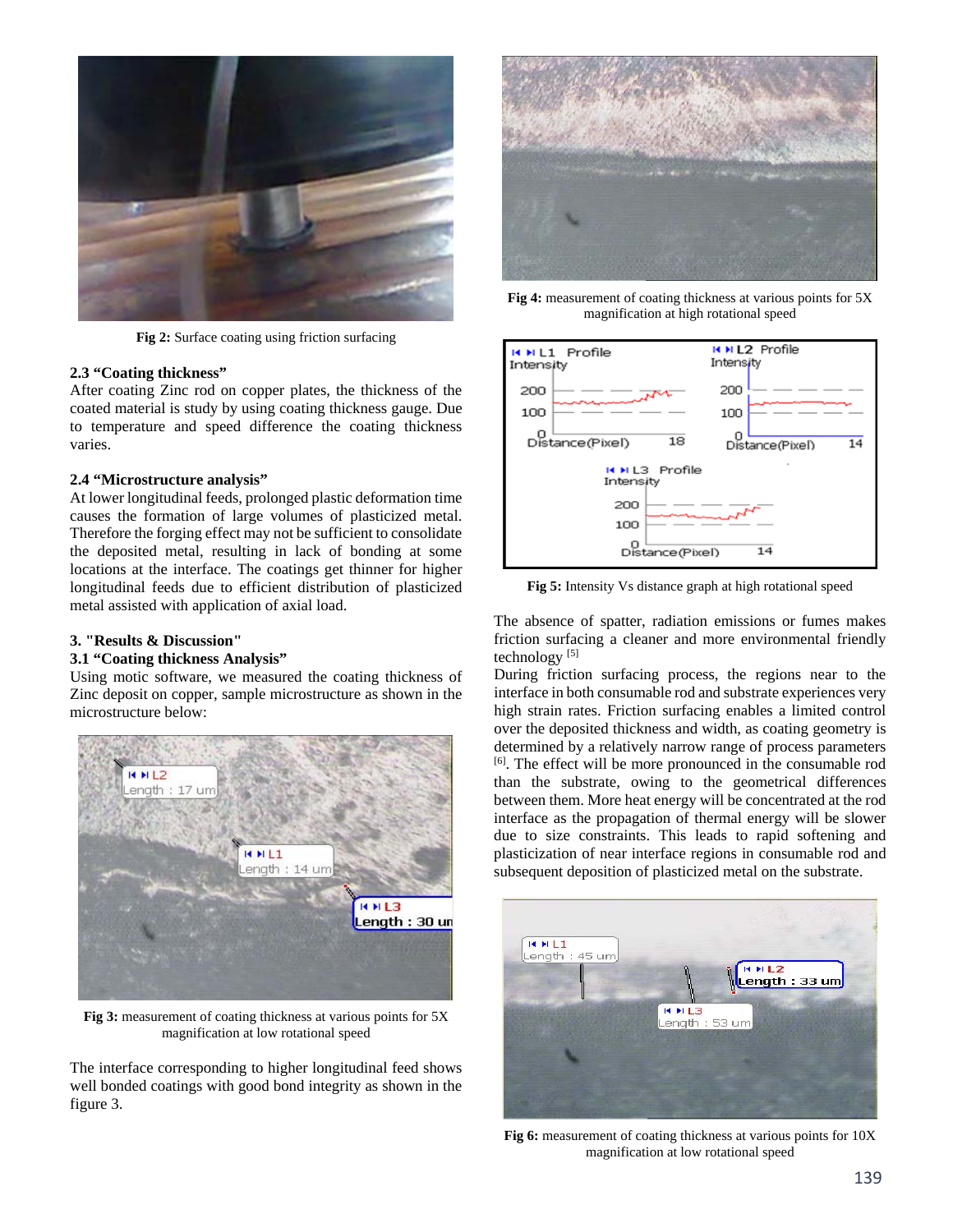

**Fig 2:** Surface coating using friction surfacing

#### **2.3 "Coating thickness"**

After coating Zinc rod on copper plates, the thickness of the coated material is study by using coating thickness gauge. Due to temperature and speed difference the coating thickness varies.

#### **2.4 "Microstructure analysis"**

At lower longitudinal feeds, prolonged plastic deformation time causes the formation of large volumes of plasticized metal. Therefore the forging effect may not be sufficient to consolidate the deposited metal, resulting in lack of bonding at some locations at the interface. The coatings get thinner for higher longitudinal feeds due to efficient distribution of plasticized metal assisted with application of axial load.

# **3. "Results & Discussion"**

# **3.1 "Coating thickness Analysis"**

Using motic software, we measured the coating thickness of Zinc deposit on copper, sample microstructure as shown in the microstructure below:



**Fig 3:** measurement of coating thickness at various points for 5X magnification at low rotational speed

The interface corresponding to higher longitudinal feed shows well bonded coatings with good bond integrity as shown in the figure 3.



**Fig 4:** measurement of coating thickness at various points for 5X magnification at high rotational speed



**Fig 5:** Intensity Vs distance graph at high rotational speed

The absence of spatter, radiation emissions or fumes makes friction surfacing a cleaner and more environmental friendly technology  $[5]$ 

During friction surfacing process, the regions near to the interface in both consumable rod and substrate experiences very high strain rates. Friction surfacing enables a limited control over the deposited thickness and width, as coating geometry is determined by a relatively narrow range of process parameters [6]. The effect will be more pronounced in the consumable rod than the substrate, owing to the geometrical differences between them. More heat energy will be concentrated at the rod interface as the propagation of thermal energy will be slower due to size constraints. This leads to rapid softening and plasticization of near interface regions in consumable rod and subsequent deposition of plasticized metal on the substrate.



**Fig 6:** measurement of coating thickness at various points for 10X magnification at low rotational speed